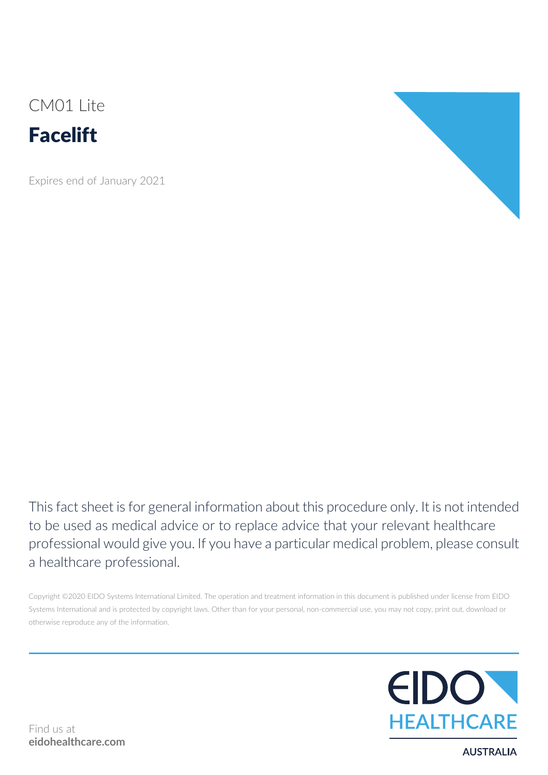CM01 Lite



Expires end of January 2021



This fact sheet is for general information about this procedure only. It is not intended to be used as medical advice or to replace advice that your relevant healthcare professional would give you. If you have a particular medical problem, please consult a healthcare professional.

Copyright ©2020 EIDO Systems International Limited. The operation and treatment information in this document is published under license from EIDO Systems International and is protected by copyright laws. Other than for your personal, non-commercial use, you may not copy, print out, download or otherwise reproduce any of the information.



**AUSTRALIA**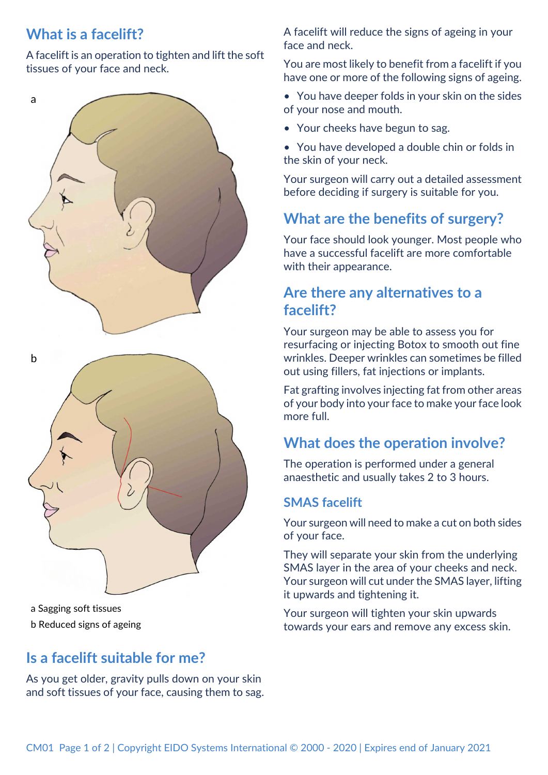# **What is a facelift?**

a

A facelift is an operation to tighten and lift the soft tissues of your face and neck.

# b

a Sagging soft tissues b Reduced signs of ageing

# **Is a facelift suitable for me?**

As you get older, gravity pulls down on your skin and soft tissues of your face, causing them to sag. A facelift will reduce the signs of ageing in your face and neck.

You are most likely to benefit from a facelift if you have one or more of the following signs of ageing.

- You have deeper folds in your skin on the sides of your nose and mouth.
- Your cheeks have begun to sag.
- You have developed a double chin or folds in the skin of your neck.

Your surgeon will carry out a detailed assessment before deciding if surgery is suitable for you.

# **What are the benefits of surgery?**

Your face should look younger. Most people who have a successful facelift are more comfortable with their appearance.

# **Are there any alternatives to a facelift?**

Your surgeon may be able to assess you for resurfacing or injecting Botox to smooth out fine wrinkles. Deeper wrinkles can sometimes be filled out using fillers, fat injections or implants.

Fat grafting involves injecting fat from other areas of your body into your face to make your face look more full.

# **What does the operation involve?**

The operation is performed under a general anaesthetic and usually takes 2 to 3 hours.

#### **SMAS facelift**

Your surgeon will need to make a cut on both sides of your face.

They will separate your skin from the underlying SMAS layer in the area of your cheeks and neck. Your surgeon will cut under the SMAS layer, lifting it upwards and tightening it.

Your surgeon will tighten your skin upwards towards your ears and remove any excess skin.